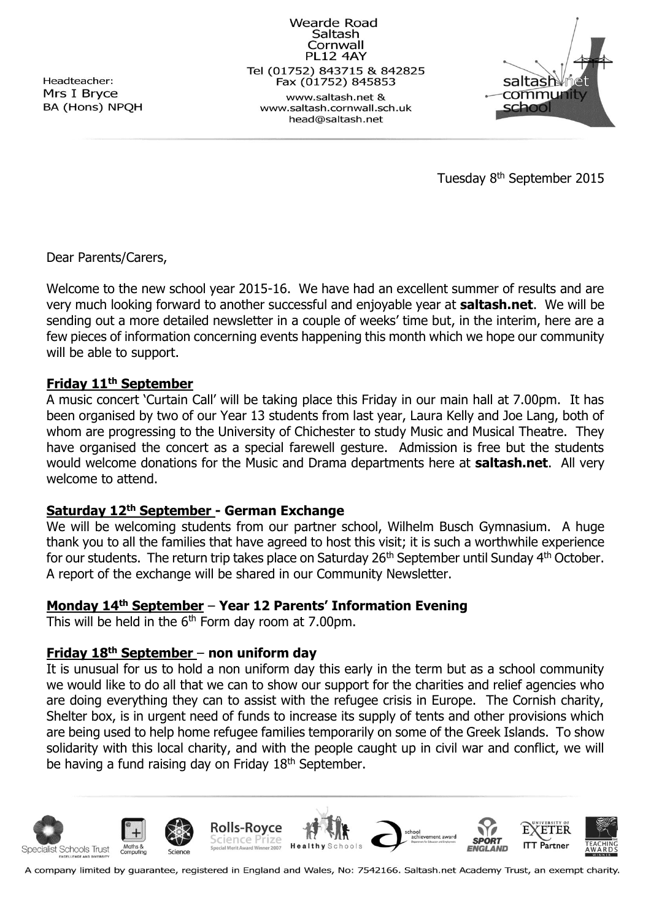Headteacher: Mrs I Bryce BA (Hons) NPQH

Wearde Road Saltash Cornwall **PL12 4AY** Tel (01752) 843715 & 842825 Fax (01752) 845853 www.saltash.net & www.saltash.cornwall.sch.uk head@saltash.net



Tuesday 8th September 2015

Dear Parents/Carers,

Welcome to the new school year 2015-16. We have had an excellent summer of results and are very much looking forward to another successful and enjoyable year at **saltash.net**. We will be sending out a more detailed newsletter in a couple of weeks' time but, in the interim, here are a few pieces of information concerning events happening this month which we hope our community will be able to support.

## **Friday 11th September**

A music concert 'Curtain Call' will be taking place this Friday in our main hall at 7.00pm. It has been organised by two of our Year 13 students from last year, Laura Kelly and Joe Lang, both of whom are progressing to the University of Chichester to study Music and Musical Theatre. They have organised the concert as a special farewell gesture. Admission is free but the students would welcome donations for the Music and Drama departments here at **saltash.net**. All very welcome to attend.

#### **Saturday 12th September - German Exchange**

We will be welcoming students from our partner school, Wilhelm Busch Gymnasium. A huge thank you to all the families that have agreed to host this visit; it is such a worthwhile experience for our students. The return trip takes place on Saturday 26<sup>th</sup> September until Sunday 4<sup>th</sup> October. A report of the exchange will be shared in our Community Newsletter.

## **Monday 14th September** – **Year 12 Parents' Information Evening**

This will be held in the  $6<sup>th</sup>$  Form day room at 7.00pm.

#### **Friday 18th September** – **non uniform day**

It is unusual for us to hold a non uniform day this early in the term but as a school community we would like to do all that we can to show our support for the charities and relief agencies who are doing everything they can to assist with the refugee crisis in Europe. The Cornish charity, Shelter box, is in urgent need of funds to increase its supply of tents and other provisions which are being used to help home refugee families temporarily on some of the Greek Islands. To show solidarity with this local charity, and with the people caught up in civil war and conflict, we will be having a fund raising day on Friday 18<sup>th</sup> September.



A company limited by guarantee, registered in England and Wales, No: 7542166. Saltash.net Academy Trust, an exempt charity.